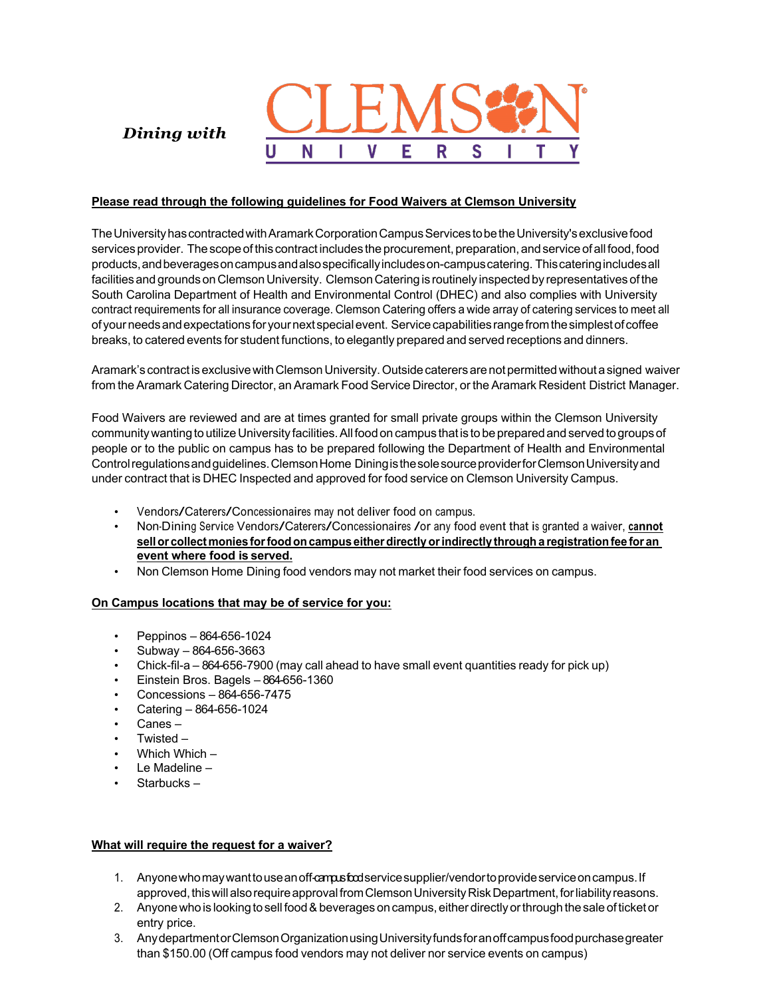

*Dining with*

# **Please read through the following guidelines for Food Waivers at Clemson University**

TheUniversityhascontractedwithAramarkCorporationCampusServicestobetheUniversity'sexclusivefood services provider. The scope of this contract includes the procurement, preparation, and service of all food, food products,andbeveragesoncampusandalsospecificallyincludeson-campuscatering. Thiscateringincludesall facilities and grounds on Clemson University. Clemson Catering is routinely inspected by representatives of the South Carolina Department of Health and Environmental Control (DHEC) and also complies with University contract requirements for all insurance coverage. Clemson Catering offers a wide array of catering services to meet all ofyourneedsandexpectations for yournext specialevent. Servicecapabilitiesrangefromthesimplestof coffee breaks, to catered events for student functions, to elegantly prepared and served receptions and dinners.

Aramark's contractis exclusivewithClemsonUniversity.Outsidecaterersarenot permittedwithoutasigned waiver from the Aramark Catering Director, an Aramark Food Service Director, or the Aramark Resident District Manager.

Food Waivers are reviewed and are at times granted for small private groups within the Clemson University community wanting to utilize University facilities. All food on campus that is to be prepared and served to groups of people or to the public on campus has to be prepared following the Department of Health and Environmental Controlregulationsandguidelines.ClemsonHome DiningisthesolesourceproviderforClemsonUniversityand under contract that is DHEC Inspected and approved for food service on Clemson University Campus.

- Vendors/Caterers/Concessionaires may not deliver food on campus.
- Non-Dining Service Vendors/Caterers/Concessionaires /or any food event that is granted <sup>a</sup> waiver, **cannot sellor collect monies forfoodoncampus eitherdirectlyorindirectly througha registrationfee for an event where food is served.**
- Non Clemson Home Dining food vendors may not market their food services on campus.

## **On Campus locations that may be of service for you:**

- Peppinos 864-656-1024
- Subway 864-656-3663
- Chick-fil-a 864-656-7900 (may call ahead to have small event quantities ready for pick up)
- Einstein Bros. Bagels 864-656-1360
- Concessions 864-656-7475
- Catering 864-656-1024
- Canes –
- Twisted –
- Which Which –
- Le Madeline –
- Starbucks –

## **What will require the request for a waiver?**

- 1. Anyone who may want to use an off-campus foodservice supplier/vendor to provide service on campus. If approved, this will also require approval from Clemson University Risk Department, for liability reasons.
- 2. Anyone who is looking to sell food & beverages on campus, either directly or through the sale of ticket or entry price.
- 3. AnydepartmentorClemsonOrganizationusingUniversityfundsforanoffcampusfoodpurchasegreater than \$150.00 (Off campus food vendors may not deliver nor service events on campus)